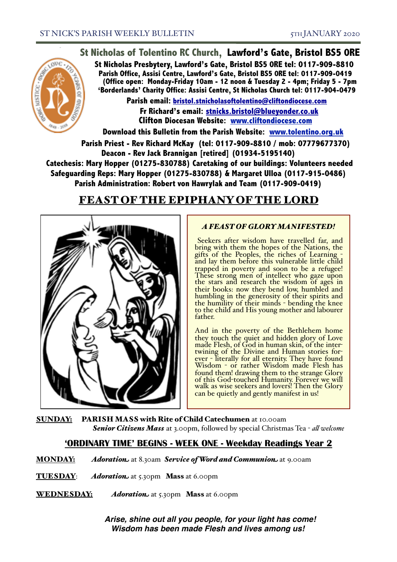# **St Nicholas of Tolentino RC Church, Lawford's Gate, Bristol BS5 0RE**



**St Nicholas Presbytery, Lawford's Gate, Bristol BS5 0RE tel: 0117-909-8810 Parish Office, Assisi Centre, Lawford's Gate, Bristol BS5 0RE tel: 0117-909-0419 (Office open: Monday-Friday 10am - 12 noon & Tuesday 2 - 4pm; Friday 5 - 7pm 'Borderlands' Charity Office: Assisi Centre, St Nicholas Church tel: 0117-904-0479**

**Parish email: [bristol.stnicholasoftolentino@cliftondiocese.com](mailto:bristol.stnicholasoftolentino@cliftondiocese.com) Fr Richard's email: [stnicks.bristol@blueyonder.co.uk](mailto:stnicks.bristol@blueyonder.co.uk) Clifton Diocesan Website: [www.cliftondiocese.com](http://www.cliftondiocese.com)**

**Download this Bulletin from the Parish Website: [www.tolentino.org.uk](http://www.cliftondiocese.com) Parish Priest - Rev Richard McKay (tel: 0117-909-8810 / mob: 07779677370) Deacon - Rev Jack Brannigan [retired] (01934-5195140) Catechesis: Mary Hopper (01275-830788) Caretaking of our buildings: Volunteers needed Safeguarding Reps: Mary Hopper (01275-830788) & Margaret Ulloa (0117-915-0486)** 

**Parish Administration: Robert von Hawrylak and Team (0117-909-0419)**

# FEAST OF THE EPIPHANY OF THE LORD



## *A FEAST OF GLORY MANIFESTED!*

 Seekers after wisdom have travelled far, and bring with them the hopes of the Nations, the gifts of the Peoples, the riches of Learning - and lay them before this vulnerable little child trapped in poverty and soon to be a refugee! These strong men of intellect who gaze upon the stars and research the wisdom of ages in their books: now they bend low, humbled and humbling in the generosity of their spirits and the humility of their minds - bending the knee<br>to the child and His young mother and labourer father.

And in the poverty of the Bethlehem home they touch the quiet and hidden glory of Love made Flesh, of God in human skin, of the inter-<br>twining of the Divine and Human stories for-<br>ever - literally for all eternity. They have found<br>Wisdom - or rather Wisdom made Flesh has found them! drawing them to the strange Glory of this God-touched Humanity. Forever we will walk as wise seekers and lovers! Then the Glory can be quietly and gently manifest in us!

SUNDAY: PARISH MASS with Rite of Child Catechumen at 10.00am *Senior Citizens Mass* at 3.00pm, followed by special Christmas Tea - *al welcome*

## **'ORDINARY TIME' BEGINS - WEEK ONE - Weekday Readings Year 2**

MONDAY: *Adoration* at 8.30am *Service of Word and Communion* at 9.00am

- **TUESDAY:** *Adoration* at 5.30pm Mass at 6.00pm
- WEDNESDAY: *Adoration* at 5.30pm Mass at 6.00pm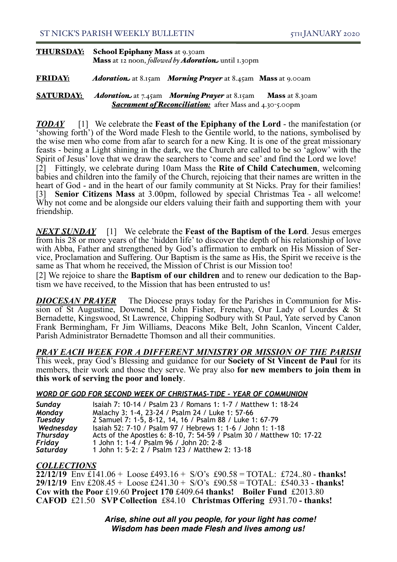### THURSDAY: School Epiphany Mass at 9.30am Mass at 12 noon, *folowed by Adoration* until 1.30pm

#### FRIDAY: *Adoration* at 8.15am *Morning Prayer* at 8.45am Mass at 9.00am

#### SATURDAY: *Adoration* at 7.45am *Morning Prayer* at 8.15am Mass at 8.30am **Sacrament of Reconciliation:** after Mass and 4.30-5.00pm

*TODAY* [1] We celebrate the **Feast of the Epiphany of the Lord** - the manifestation (or 'showing forth') of the Word made Flesh to the Gentile world, to the nations, symbolised by the wise men who come from afar to search for a new King. It is one of the great missionary feasts - being a Light shining in the dark, we the Church are called to be so 'aglow' with the Spirit of Jesus' love that we draw the searchers to 'come and see' and find the Lord we love! [2] Fittingly, we celebrate during 10am Mass the **Rite of Child Catechumen**, welcoming babies and children into the family of the Church, rejoicing that their names are written in the heart of God - and in the heart of our family community at St Nicks. Pray for their families! [3] **Senior Citizens Mass** at 3.00pm, followed by special Christmas Tea - all welcome! Why not come and be alongside our elders valuing their faith and supporting them with your friendship.

*NEXT SUNDAY* [1] We celebrate the **Feast of the Baptism of the Lord**. Jesus emerges from his 28 or more years of the 'hidden life' to discover the depth of his relationship of love with Abba, Father and strengthened by God's affirmation to embark on His Mission of Service, Proclamation and Suffering. Our Baptism is the same as His, the Spirit we receive is the same as That whom he received, the Mission of Christ is our Mission too!

[2] We rejoice to share the **Baptism of our children** and to renew our dedication to the Bap- tism we have received, to the Mission that has been entrusted to us!

**DIOCESAN PRAYER** *DIOCESAN PRAYER* The Diocese prays today for the Parishes in Communion for Mis- sion of St Augustine, Downend, St John Fisher, Frenchay, Our Lady of Lourdes & St Bernadette, Kingswood, St Lawrence, Chipping Sodbury with St Paul, Yate served by Canon Frank Bermingham, Fr Jim Williams, Deacons Mike Belt, John Scanlon, Vincent Calder, Parish Administrator Bernadette Thomson and all their communities.

*PRAY EACH WEEK FOR A DIFFERENT MINISTRY OR MISSION OF THE PARISH* This week, pray God's Blessing and guidance for our **Society of St Vincent de Paul** for its members, their work and those they serve. We pray also **for new members to join them in this work of serving the poor and lonely**.

#### *WORD OF GOD FOR SECOND WEEK OF CHRISTMAS-TIDE - YEAR OF COMMUNION*

| Sunday          | Isaiah 7: 10-14 / Psalm 23 / Romans 1: 1-7 / Matthew 1: 18-24         |
|-----------------|-----------------------------------------------------------------------|
| Monday          | Malachy 3: 1-4, 23-24 / Psalm 24 / Luke 1: 57-66                      |
| Tuesday         | 2 Samuel 7: 1-5, 8-12, 14, 16 / Psalm 88 / Luke 1: 67-79              |
| Wednesday       | Isaiah 52: 7-10 / Psalm 97 / Hebrews 1: 1-6 / John 1: 1-18            |
| <b>Thursday</b> | Acts of the Apostles 6: 8-10, 7: 54-59 / Psalm 30 / Matthew 10: 17-22 |
| Friday          | 1 John 1: 1-4 / Psalm 96 / John 20: 2-8                               |
| Saturday        | 1 John 1: 5-2: 2 / Psalm 123 / Matthew 2: 13-18                       |

### *COLLECTIONS*

**22/12/19** Env £141.06 + Loose £493.16 + S/O's £90.58 = TOTAL: £724..80 - **thanks! 29/12/19** Env £208.45 + Loose £241.30 + S/O's £90.58 = TOTAL: £540.33 - **thanks! Cov with the Poor** £19.60 **Project 170** £409.64 **thanks! Boiler Fund** £2013.80 **CAFOD** £21.50 **SVP Collection** £84.10 **Christmas Offering** £931.70 **- thanks!**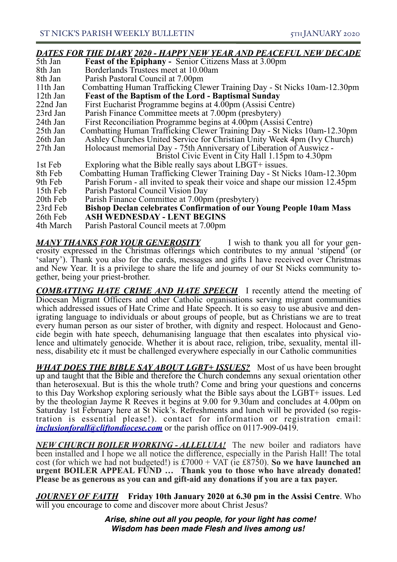## *DATES FOR THE DIARY 2020 - HAPPY NEW YEAR AND PEACEFUL NEW DECADE*

| 5th Jan   | <b>Feast of the Epiphany - Senior Citizens Mass at 3.00pm</b>                 |
|-----------|-------------------------------------------------------------------------------|
| 8th Jan   | Borderlands Trustees meet at 10.00am                                          |
| 8th Jan   | Parish Pastoral Council at 7.00pm                                             |
| 11th Jan  | Combatting Human Trafficking Clewer Training Day - St Nicks 10am-12.30pm      |
| 12th Jan  | <b>Feast of the Baptism of the Lord - Baptismal Sunday</b>                    |
| 22nd Jan  | First Eucharist Programme begins at 4.00pm (Assisi Centre)                    |
| 23rd Jan  | Parish Finance Committee meets at 7.00pm (presbytery)                         |
| 24th Jan  | First Reconciliation Programme begins at 4.00pm (Assisi Centre)               |
| 25th Jan  | Combatting Human Trafficking Clewer Training Day - St Nicks 10am-12.30pm      |
| 26th Jan  | Ashley Churches United Service for Christian Unity Week 4pm (Ivy Church)      |
| 27th Jan  | Holocaust memorial Day - 75th Anniversary of Liberation of Auswicz -          |
|           | Bristol Civic Event in City Hall 1.15pm to 4.30pm                             |
| 1st Feb   | Exploring what the Bible really says about LBGT+ issues.                      |
| 8th Feb   | Combatting Human Trafficking Clewer Training Day - St Nicks 10am-12.30pm      |
| 9th Feb   | Parish Forum - all invited to speak their voice and shape our mission 12.45pm |
| 15th Feb  | Parish Pastoral Council Vision Day                                            |
| 20th Feb  | Parish Finance Committee at 7.00pm (presbytery)                               |
| 23rd Feb  | <b>Bishop Declan celebrates Confirmation of our Young People 10am Mass</b>    |
| 26th Feb  | <b>ASH WEDNESDAY - LENT BEGINS</b>                                            |
| 4th March | Parish Pastoral Council meets at 7.00pm                                       |

*MANY THANKS FOR YOUR GENEROSITY* I wish to thank you all for your generosity expressed in the Christmas offerings which contributes to my annual 'stipend' (or 'salary'). Thank you also for the cards, messages and gifts I have received over Christmas and New Year. It is a privilege to share the life and journey of our St Nicks community to- gether, being your priest-brother.

*COMBATTING HATE CRIME AND HATE SPEECH* I recently attend the meeting of Diocesan Migrant Officers and other Catholic organisations serving migrant communities which addressed issues of Hate Crime and Hate Speech. It is so easy to use abusive and den-<br>igrating language to individuals or about groups of people, but as Christians we are to treat<br>every human person as our sister of cide begin with hate speech, dehumanising language that then escalates into physical violence and ultimately genocide. Whether it is about race, religion, tribe, sexuality, mental illness, disability etc it must be challen

*WHAT DOES THE BIBLE SAY ABOUT LGBT+ ISSUES*? Most of us have been brought up and taught that the Bible and therefore the Church condemns any sexual orientation other than heterosexual. But is this the whole truth? Come and bring your questions and concerns to this Day Workshop exploring seriously what the Bible says about the LGBT+ issues. Led by the theologian Jayme R Reeves it begins at 9.00 for 9.30am and concludes at 4.00pm on Saturday 1st February here at St Nick's. Refreshments and lunch will be provided (so registration is essential please!). contact for information or registration email: *[inclusionforall@cliftondiocese.com](mailto:inclusionforall@cliftondiocese.com)* or the parish office on 0117-909-0419.

*NEW CHURCH BOILER WORKING - ALLELUIA!* The new boiler and radiators have been installed and I hope we all notice the difference, especially in the Parish Hall! The total cost (for which we had not budgeted!) is £7000 + VAT (ie £8750). **So we have launched an urgent BOILER APPEAL FUND … Thank you to those who have already donated! Please be as generous as you can and gift-aid any donations if you are a tax payer.** 

*JOURNEY OF FAITH* **Friday 10th January 2020 at 6.30 pm in the Assisi Centre**. Who will you encourage to come and discover more about Christ Jesus?